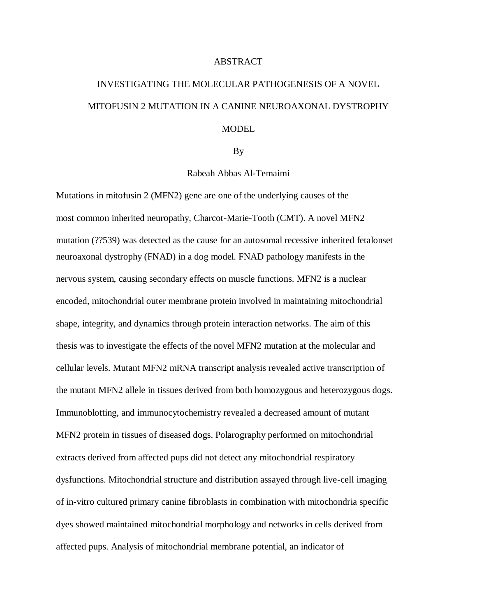## ABSTRACT

## INVESTIGATING THE MOLECULAR PATHOGENESIS OF A NOVEL MITOFUSIN 2 MUTATION IN A CANINE NEUROAXONAL DYSTROPHY **MODEL**

## By

Rabeah Abbas Al-Temaimi

Mutations in mitofusin 2 (MFN2) gene are one of the underlying causes of the most common inherited neuropathy, Charcot-Marie-Tooth (CMT). A novel MFN2 mutation (??539) was detected as the cause for an autosomal recessive inherited fetalonset neuroaxonal dystrophy (FNAD) in a dog model. FNAD pathology manifests in the nervous system, causing secondary effects on muscle functions. MFN2 is a nuclear encoded, mitochondrial outer membrane protein involved in maintaining mitochondrial shape, integrity, and dynamics through protein interaction networks. The aim of this thesis was to investigate the effects of the novel MFN2 mutation at the molecular and cellular levels. Mutant MFN2 mRNA transcript analysis revealed active transcription of the mutant MFN2 allele in tissues derived from both homozygous and heterozygous dogs. Immunoblotting, and immunocytochemistry revealed a decreased amount of mutant MFN2 protein in tissues of diseased dogs. Polarography performed on mitochondrial extracts derived from affected pups did not detect any mitochondrial respiratory dysfunctions. Mitochondrial structure and distribution assayed through live-cell imaging of in-vitro cultured primary canine fibroblasts in combination with mitochondria specific dyes showed maintained mitochondrial morphology and networks in cells derived from affected pups. Analysis of mitochondrial membrane potential, an indicator of